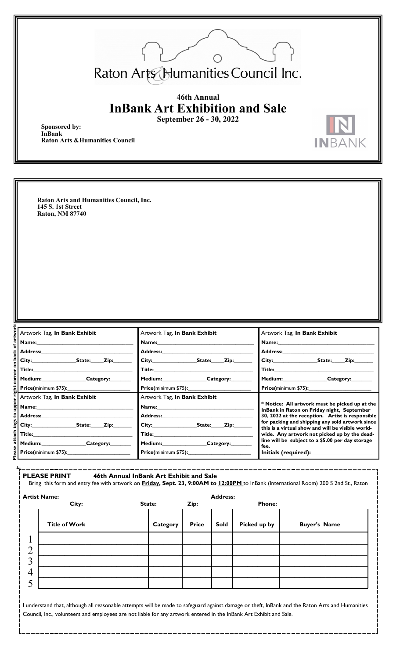

**INBANK** 

## **46th Annual InBank Art Exhibition and Sale September 26 - 30, 2022**

**Sponsored by: InBank Raton Arts &Humanities Council**

**Raton Arts and Humanities Council, Inc. 145 S. 1st Street Raton, NM 87740**

| <u>f</u> artwol<br>Artwork Tag, In Bank Exhibit                                                                                                                                                                                | Artwork Tag, In Bank Exhibit                                                                                                                                                                                                   | Artwork Tag, In Bank Exhibit                                                                                                                                                                                                   |
|--------------------------------------------------------------------------------------------------------------------------------------------------------------------------------------------------------------------------------|--------------------------------------------------------------------------------------------------------------------------------------------------------------------------------------------------------------------------------|--------------------------------------------------------------------------------------------------------------------------------------------------------------------------------------------------------------------------------|
|                                                                                                                                                                                                                                | Name: and the same of the same of the same of the same of the same of the same of the same of the same of the same of the same of the same of the same of the same of the same of the same of the same of the same of the same | Name: and the same of the same of the same of the same of the same of the same of the same of the same of the same of the same of the same of the same of the same of the same of the same of the same of the same of the same |
| Address: The Management of the Second Second Second Second Second Second Second Second Second Second Second Second Second Second Second Second Second Second Second Second Second Second Second Second Second Second Second Se | Address:                                                                                                                                                                                                                       | <b>Address:</b>                                                                                                                                                                                                                |
|                                                                                                                                                                                                                                | City: State: Zip:                                                                                                                                                                                                              | City:<br><b>State:</b><br>Zip:                                                                                                                                                                                                 |
|                                                                                                                                                                                                                                | Title:_________________                                                                                                                                                                                                        | <b>Title:</b>                                                                                                                                                                                                                  |
| corner on back<br>Medium: Category:                                                                                                                                                                                            | Medium:__________________Category:____                                                                                                                                                                                         | Medium: Category:                                                                                                                                                                                                              |
|                                                                                                                                                                                                                                |                                                                                                                                                                                                                                |                                                                                                                                                                                                                                |
| upper right<br>Artwork Tag, In Bank Exhibit                                                                                                                                                                                    | Artwork Tag, In Bank Exhibit                                                                                                                                                                                                   |                                                                                                                                                                                                                                |
|                                                                                                                                                                                                                                | Name:                                                                                                                                                                                                                          | * Notice: All artwork must be picked up at the<br>InBank in Raton on Friday night, September                                                                                                                                   |
| $\left  \mathcal{L} \right $ Address:                                                                                                                                                                                          | Address: The Management of the Second State of the Second State of the Second State of the Second State of the Second State of the Second State of the Second State of the Second State of the Second State of the Second Stat | 30, 2022 at the reception. Artist is responsible                                                                                                                                                                               |
| 혦                                                                                                                                                                                                                              | City: State: Zip:                                                                                                                                                                                                              | for packing and shipping any sold artwork since<br>this is a virtual show and will be visible world-                                                                                                                           |
|                                                                                                                                                                                                                                |                                                                                                                                                                                                                                | wide. Any artwork not picked up by the dead-                                                                                                                                                                                   |
| ease attach<br>Medium:____________________Category:________                                                                                                                                                                    | Medium:____________________Category:_________                                                                                                                                                                                  | line will be subject to a \$5.00 per day storage<br>fee.                                                                                                                                                                       |
|                                                                                                                                                                                                                                | <b>Price(minimum \$75):</b> 2000 2012 2021                                                                                                                                                                                     |                                                                                                                                                                                                                                |

|                | <b>PLEASE PRINT</b>  | 46th Annual InBank Art Exhibit and Sale |          |              |                 |               | Bring this form and entry fee with artwork on <b>Friday, Sept. 23, 9:00AM to 12:00PM</b> to InBank (International Room) 200 S 2nd St., Raton |
|----------------|----------------------|-----------------------------------------|----------|--------------|-----------------|---------------|----------------------------------------------------------------------------------------------------------------------------------------------|
|                | <b>Artist Name:</b>  |                                         |          |              | <b>Address:</b> |               |                                                                                                                                              |
|                | City:                | State:                                  |          | Zip:         |                 | <b>Phone:</b> |                                                                                                                                              |
|                | <b>Title of Work</b> |                                         | Category | <b>Price</b> | <b>Sold</b>     | Picked up by  | <b>Buyer's Name</b>                                                                                                                          |
|                |                      |                                         |          |              |                 |               |                                                                                                                                              |
| $\overline{2}$ |                      |                                         |          |              |                 |               |                                                                                                                                              |
| 3              |                      |                                         |          |              |                 |               |                                                                                                                                              |
| $\overline{4}$ |                      |                                         |          |              |                 |               |                                                                                                                                              |
|                |                      |                                         |          |              |                 |               |                                                                                                                                              |

I understand that, although all reasonable attempts will be made to safeguard against damage or theft, InBank and the Raton Arts and Humanities Council, Inc., volunteers and employees are not liable for any artwork entered in the InBank Art Exhibit and Sale.